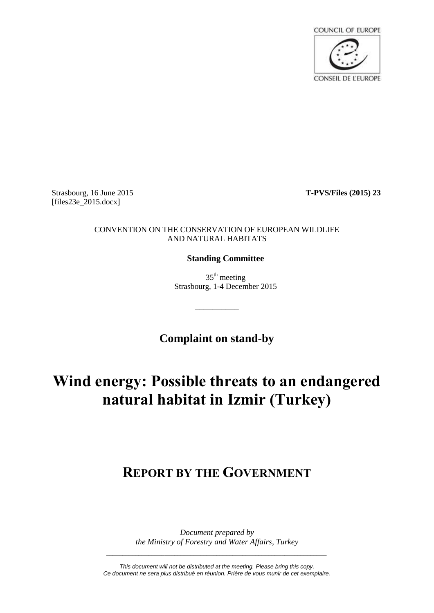

Strasbourg, 16 June 2015 **T-PVS/Files (2015) 23** [files23e\_2015.docx]

#### CONVENTION ON THE CONSERVATION OF EUROPEAN WILDLIFE AND NATURAL HABITATS

### **Standing Committee**

 $35<sup>th</sup>$  meeting Strasbourg, 1-4 December 2015

**Complaint on stand-by**

\_\_\_\_\_\_\_\_\_\_

# **Wind energy: Possible threats to an endangered natural habitat in Izmir (Turkey)**

## **REPORT BY THE GOVERNMENT**

*Document prepared by the Ministry of Forestry and Water Affairs, Turkey*

*This document will not be distributed at the meeting. Please bring this copy. Ce document ne sera plus distribué en réunion. Prière de vous munir de cet exemplaire.*

*\_\_\_\_\_\_\_\_\_\_\_\_\_\_\_\_\_\_\_\_\_\_\_\_\_\_\_\_\_\_\_\_\_\_\_\_\_\_\_\_\_\_\_\_\_\_\_\_\_\_\_\_\_\_\_\_\_\_\_\_\_\_\_\_\_\_\_\_*